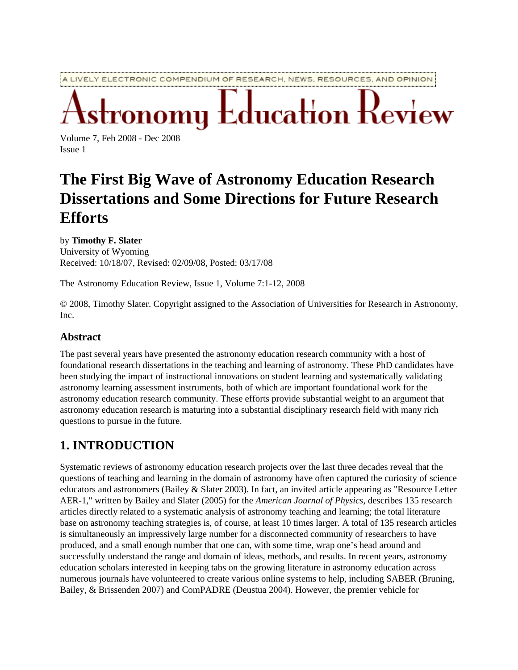A LIVELY ELECTRONIC COMPENDIUM OF RESEARCH, NEWS, RESOURCES, AND OPINION

Education Review

Volume 7, Feb 2008 - Dec 2008 Issue 1

# **The First Big Wave of Astronomy Education Research Dissertations and Some Directions for Future Research Efforts**

#### by **Timothy F. Slater**

University of Wyoming Received: 10/18/07, Revised: 02/09/08, Posted: 03/17/08

The Astronomy Education Review, Issue 1, Volume 7:1-12, 2008

© 2008, Timothy Slater. Copyright assigned to the Association of Universities for Research in Astronomy, Inc.

#### **Abstract**

The past several years have presented the astronomy education research community with a host of foundational research dissertations in the teaching and learning of astronomy. These PhD candidates have been studying the impact of instructional innovations on student learning and systematically validating astronomy learning assessment instruments, both of which are important foundational work for the astronomy education research community. These efforts provide substantial weight to an argument that astronomy education research is maturing into a substantial disciplinary research field with many rich questions to pursue in the future.

# **1. INTRODUCTION**

Systematic reviews of astronomy education research projects over the last three decades reveal that the questions of teaching and learning in the domain of astronomy have often captured the curiosity of science educators and astronomers (Bailey & Slater 2003). In fact, an invited article appearing as "Resource Letter AER-1," written by Bailey and Slater (2005) for the *American Journal of Physics*, describes 135 research articles directly related to a systematic analysis of astronomy teaching and learning; the total literature base on astronomy teaching strategies is, of course, at least 10 times larger. A total of 135 research articles is simultaneously an impressively large number for a disconnected community of researchers to have produced, and a small enough number that one can, with some time, wrap one's head around and successfully understand the range and domain of ideas, methods, and results. In recent years, astronomy education scholars interested in keeping tabs on the growing literature in astronomy education across numerous journals have volunteered to create various online systems to help, including SABER (Bruning, Bailey, & Brissenden 2007) and ComPADRE (Deustua 2004). However, the premier vehicle for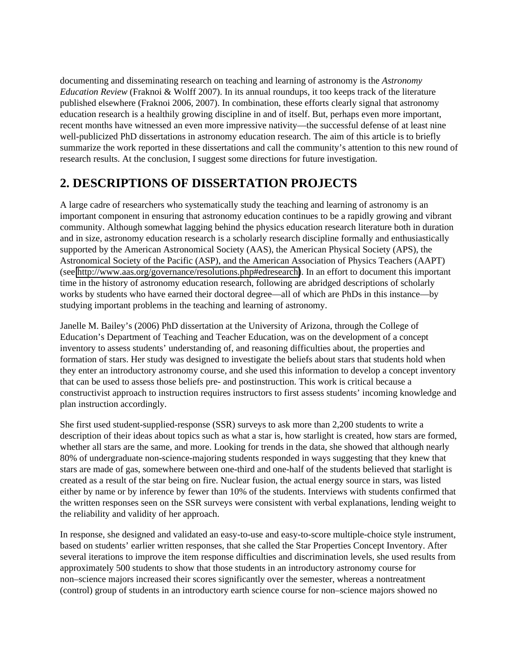documenting and disseminating research on teaching and learning of astronomy is the *Astronomy Education Review* (Fraknoi & Wolff 2007). In its annual roundups, it too keeps track of the literature published elsewhere (Fraknoi 2006, 2007). In combination, these efforts clearly signal that astronomy education research is a healthily growing discipline in and of itself. But, perhaps even more important, recent months have witnessed an even more impressive nativity—the successful defense of at least nine well-publicized PhD dissertations in astronomy education research. The aim of this article is to briefly summarize the work reported in these dissertations and call the community's attention to this new round of research results. At the conclusion, I suggest some directions for future investigation.

## **2. DESCRIPTIONS OF DISSERTATION PROJECTS**

A large cadre of researchers who systematically study the teaching and learning of astronomy is an important component in ensuring that astronomy education continues to be a rapidly growing and vibrant community. Although somewhat lagging behind the physics education research literature both in duration and in size, astronomy education research is a scholarly research discipline formally and enthusiastically supported by the American Astronomical Society (AAS), the American Physical Society (APS), the Astronomical Society of the Pacific (ASP), and the American Association of Physics Teachers (AAPT) (see [http://www.aas.org/governance/resolutions.php#edresearch\)](http://www.aas.org/governance/resolutions.php#edresearch). In an effort to document this important time in the history of astronomy education research, following are abridged descriptions of scholarly works by students who have earned their doctoral degree—all of which are PhDs in this instance—by studying important problems in the teaching and learning of astronomy.

Janelle M. Bailey's (2006) PhD dissertation at the University of Arizona, through the College of Education's Department of Teaching and Teacher Education, was on the development of a concept inventory to assess students' understanding of, and reasoning difficulties about, the properties and formation of stars. Her study was designed to investigate the beliefs about stars that students hold when they enter an introductory astronomy course, and she used this information to develop a concept inventory that can be used to assess those beliefs pre- and postinstruction. This work is critical because a constructivist approach to instruction requires instructors to first assess students' incoming knowledge and plan instruction accordingly.

She first used student-supplied-response (SSR) surveys to ask more than 2,200 students to write a description of their ideas about topics such as what a star is, how starlight is created, how stars are formed, whether all stars are the same, and more. Looking for trends in the data, she showed that although nearly 80% of undergraduate non-science-majoring students responded in ways suggesting that they knew that stars are made of gas, somewhere between one-third and one-half of the students believed that starlight is created as a result of the star being on fire. Nuclear fusion, the actual energy source in stars, was listed either by name or by inference by fewer than 10% of the students. Interviews with students confirmed that the written responses seen on the SSR surveys were consistent with verbal explanations, lending weight to the reliability and validity of her approach.

In response, she designed and validated an easy-to-use and easy-to-score multiple-choice style instrument, based on students' earlier written responses, that she called the Star Properties Concept Inventory. After several iterations to improve the item response difficulties and discrimination levels, she used results from approximately 500 students to show that those students in an introductory astronomy course for non–science majors increased their scores significantly over the semester, whereas a nontreatment (control) group of students in an introductory earth science course for non–science majors showed no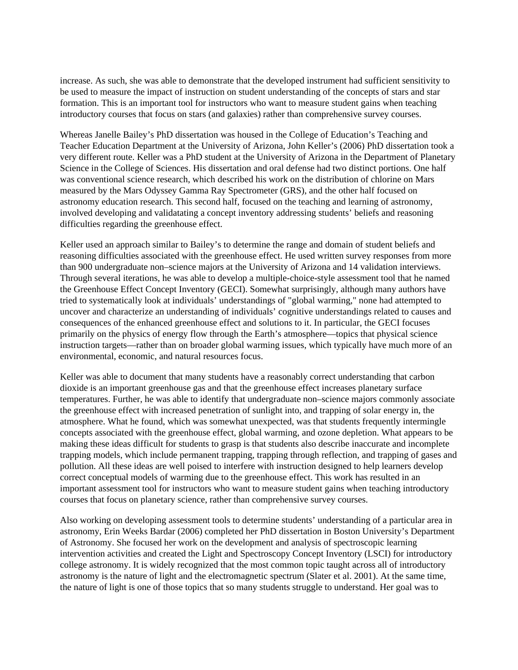increase. As such, she was able to demonstrate that the developed instrument had sufficient sensitivity to be used to measure the impact of instruction on student understanding of the concepts of stars and star formation. This is an important tool for instructors who want to measure student gains when teaching introductory courses that focus on stars (and galaxies) rather than comprehensive survey courses.

Whereas Janelle Bailey's PhD dissertation was housed in the College of Education's Teaching and Teacher Education Department at the University of Arizona, John Keller's (2006) PhD dissertation took a very different route. Keller was a PhD student at the University of Arizona in the Department of Planetary Science in the College of Sciences. His dissertation and oral defense had two distinct portions. One half was conventional science research, which described his work on the distribution of chlorine on Mars measured by the Mars Odyssey Gamma Ray Spectrometer (GRS), and the other half focused on astronomy education research. This second half, focused on the teaching and learning of astronomy, involved developing and validatating a concept inventory addressing students' beliefs and reasoning difficulties regarding the greenhouse effect.

Keller used an approach similar to Bailey's to determine the range and domain of student beliefs and reasoning difficulties associated with the greenhouse effect. He used written survey responses from more than 900 undergraduate non–science majors at the University of Arizona and 14 validation interviews. Through several iterations, he was able to develop a multiple-choice-style assessment tool that he named the Greenhouse Effect Concept Inventory (GECI). Somewhat surprisingly, although many authors have tried to systematically look at individuals' understandings of "global warming," none had attempted to uncover and characterize an understanding of individuals' cognitive understandings related to causes and consequences of the enhanced greenhouse effect and solutions to it. In particular, the GECI focuses primarily on the physics of energy flow through the Earth's atmosphere—topics that physical science instruction targets—rather than on broader global warming issues, which typically have much more of an environmental, economic, and natural resources focus.

Keller was able to document that many students have a reasonably correct understanding that carbon dioxide is an important greenhouse gas and that the greenhouse effect increases planetary surface temperatures. Further, he was able to identify that undergraduate non–science majors commonly associate the greenhouse effect with increased penetration of sunlight into, and trapping of solar energy in, the atmosphere. What he found, which was somewhat unexpected, was that students frequently intermingle concepts associated with the greenhouse effect, global warming, and ozone depletion. What appears to be making these ideas difficult for students to grasp is that students also describe inaccurate and incomplete trapping models, which include permanent trapping, trapping through reflection, and trapping of gases and pollution. All these ideas are well poised to interfere with instruction designed to help learners develop correct conceptual models of warming due to the greenhouse effect. This work has resulted in an important assessment tool for instructors who want to measure student gains when teaching introductory courses that focus on planetary science, rather than comprehensive survey courses.

Also working on developing assessment tools to determine students' understanding of a particular area in astronomy, Erin Weeks Bardar (2006) completed her PhD dissertation in Boston University's Department of Astronomy. She focused her work on the development and analysis of spectroscopic learning intervention activities and created the Light and Spectroscopy Concept Inventory (LSCI) for introductory college astronomy. It is widely recognized that the most common topic taught across all of introductory astronomy is the nature of light and the electromagnetic spectrum (Slater et al. 2001). At the same time, the nature of light is one of those topics that so many students struggle to understand. Her goal was to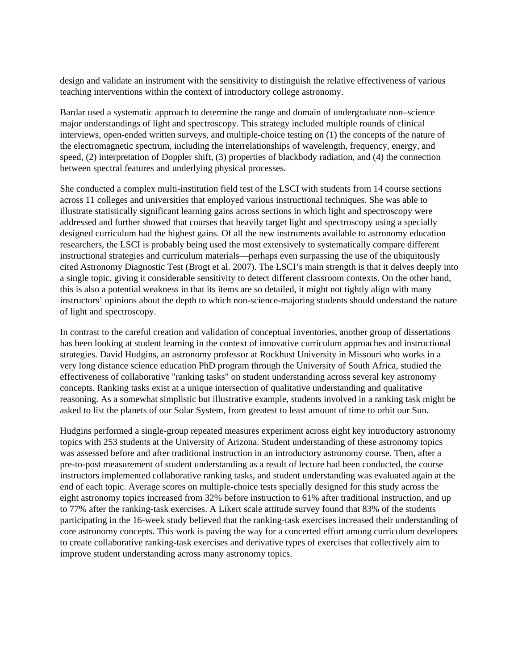design and validate an instrument with the sensitivity to distinguish the relative effectiveness of various teaching interventions within the context of introductory college astronomy.

Bardar used a systematic approach to determine the range and domain of undergraduate non–science major understandings of light and spectroscopy. This strategy included multiple rounds of clinical interviews, open-ended written surveys, and multiple-choice testing on (1) the concepts of the nature of the electromagnetic spectrum, including the interrelationships of wavelength, frequency, energy, and speed, (2) interpretation of Doppler shift, (3) properties of blackbody radiation, and (4) the connection between spectral features and underlying physical processes.

She conducted a complex multi-institution field test of the LSCI with students from 14 course sections across 11 colleges and universities that employed various instructional techniques. She was able to illustrate statistically significant learning gains across sections in which light and spectroscopy were addressed and further showed that courses that heavily target light and spectroscopy using a specially designed curriculum had the highest gains. Of all the new instruments available to astronomy education researchers, the LSCI is probably being used the most extensively to systematically compare different instructional strategies and curriculum materials—perhaps even surpassing the use of the ubiquitously cited Astronomy Diagnostic Test (Brogt et al. 2007). The LSCI's main strength is that it delves deeply into a single topic, giving it considerable sensitivity to detect different classroom contexts. On the other hand, this is also a potential weakness in that its items are so detailed, it might not tightly align with many instructors' opinions about the depth to which non-science-majoring students should understand the nature of light and spectroscopy.

In contrast to the careful creation and validation of conceptual inventories, another group of dissertations has been looking at student learning in the context of innovative curriculum approaches and instructional strategies. David Hudgins, an astronomy professor at Rockhust University in Missouri who works in a very long distance science education PhD program through the University of South Africa, studied the effectiveness of collaborative "ranking tasks" on student understanding across several key astronomy concepts. Ranking tasks exist at a unique intersection of qualitative understanding and qualitative reasoning. As a somewhat simplistic but illustrative example, students involved in a ranking task might be asked to list the planets of our Solar System, from greatest to least amount of time to orbit our Sun.

Hudgins performed a single-group repeated measures experiment across eight key introductory astronomy topics with 253 students at the University of Arizona. Student understanding of these astronomy topics was assessed before and after traditional instruction in an introductory astronomy course. Then, after a pre-to-post measurement of student understanding as a result of lecture had been conducted, the course instructors implemented collaborative ranking tasks, and student understanding was evaluated again at the end of each topic. Average scores on multiple-choice tests specially designed for this study across the eight astronomy topics increased from 32% before instruction to 61% after traditional instruction, and up to 77% after the ranking-task exercises. A Likert scale attitude survey found that 83% of the students participating in the 16-week study believed that the ranking-task exercises increased their understanding of core astronomy concepts. This work is paving the way for a concerted effort among curriculum developers to create collaborative ranking-task exercises and derivative types of exercises that collectively aim to improve student understanding across many astronomy topics.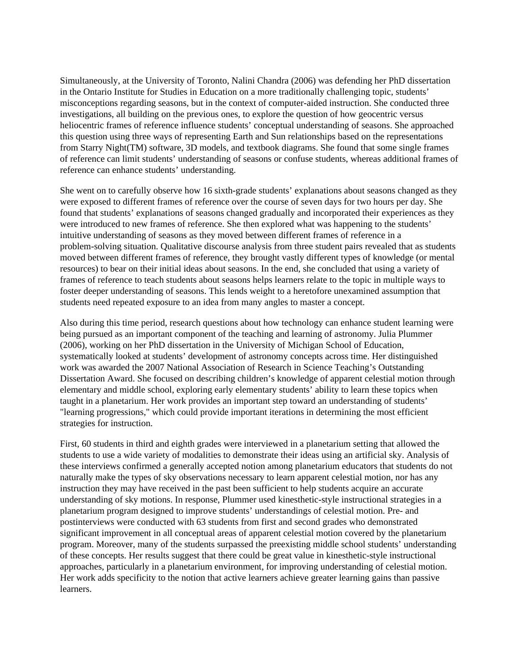Simultaneously, at the University of Toronto, Nalini Chandra (2006) was defending her PhD dissertation in the Ontario Institute for Studies in Education on a more traditionally challenging topic, students' misconceptions regarding seasons, but in the context of computer-aided instruction. She conducted three investigations, all building on the previous ones, to explore the question of how geocentric versus heliocentric frames of reference influence students' conceptual understanding of seasons. She approached this question using three ways of representing Earth and Sun relationships based on the representations from Starry Night(TM) software, 3D models, and textbook diagrams. She found that some single frames of reference can limit students' understanding of seasons or confuse students, whereas additional frames of reference can enhance students' understanding.

She went on to carefully observe how 16 sixth-grade students' explanations about seasons changed as they were exposed to different frames of reference over the course of seven days for two hours per day. She found that students' explanations of seasons changed gradually and incorporated their experiences as they were introduced to new frames of reference. She then explored what was happening to the students' intuitive understanding of seasons as they moved between different frames of reference in a problem-solving situation. Qualitative discourse analysis from three student pairs revealed that as students moved between different frames of reference, they brought vastly different types of knowledge (or mental resources) to bear on their initial ideas about seasons. In the end, she concluded that using a variety of frames of reference to teach students about seasons helps learners relate to the topic in multiple ways to foster deeper understanding of seasons. This lends weight to a heretofore unexamined assumption that students need repeated exposure to an idea from many angles to master a concept.

Also during this time period, research questions about how technology can enhance student learning were being pursued as an important component of the teaching and learning of astronomy. Julia Plummer (2006), working on her PhD dissertation in the University of Michigan School of Education, systematically looked at students' development of astronomy concepts across time. Her distinguished work was awarded the 2007 National Association of Research in Science Teaching's Outstanding Dissertation Award. She focused on describing children's knowledge of apparent celestial motion through elementary and middle school, exploring early elementary students' ability to learn these topics when taught in a planetarium. Her work provides an important step toward an understanding of students' "learning progressions," which could provide important iterations in determining the most efficient strategies for instruction.

First, 60 students in third and eighth grades were interviewed in a planetarium setting that allowed the students to use a wide variety of modalities to demonstrate their ideas using an artificial sky. Analysis of these interviews confirmed a generally accepted notion among planetarium educators that students do not naturally make the types of sky observations necessary to learn apparent celestial motion, nor has any instruction they may have received in the past been sufficient to help students acquire an accurate understanding of sky motions. In response, Plummer used kinesthetic-style instructional strategies in a planetarium program designed to improve students' understandings of celestial motion. Pre- and postinterviews were conducted with 63 students from first and second grades who demonstrated significant improvement in all conceptual areas of apparent celestial motion covered by the planetarium program. Moreover, many of the students surpassed the preexisting middle school students' understanding of these concepts. Her results suggest that there could be great value in kinesthetic-style instructional approaches, particularly in a planetarium environment, for improving understanding of celestial motion. Her work adds specificity to the notion that active learners achieve greater learning gains than passive learners.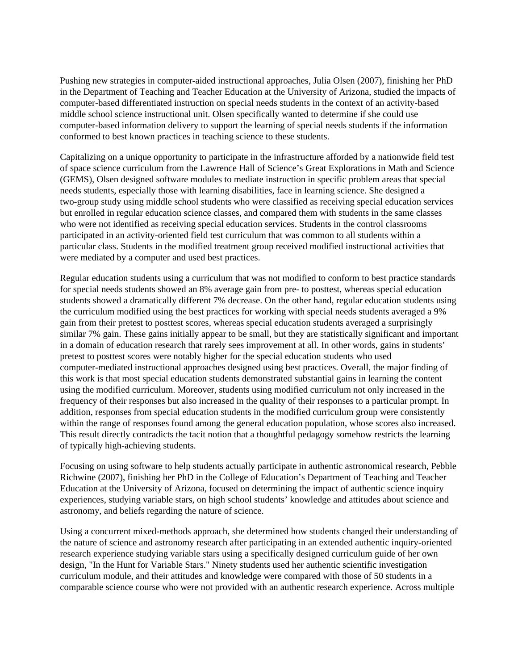Pushing new strategies in computer-aided instructional approaches, Julia Olsen (2007), finishing her PhD in the Department of Teaching and Teacher Education at the University of Arizona, studied the impacts of computer-based differentiated instruction on special needs students in the context of an activity-based middle school science instructional unit. Olsen specifically wanted to determine if she could use computer-based information delivery to support the learning of special needs students if the information conformed to best known practices in teaching science to these students.

Capitalizing on a unique opportunity to participate in the infrastructure afforded by a nationwide field test of space science curriculum from the Lawrence Hall of Science's Great Explorations in Math and Science (GEMS), Olsen designed software modules to mediate instruction in specific problem areas that special needs students, especially those with learning disabilities, face in learning science. She designed a two-group study using middle school students who were classified as receiving special education services but enrolled in regular education science classes, and compared them with students in the same classes who were not identified as receiving special education services. Students in the control classrooms participated in an activity-oriented field test curriculum that was common to all students within a particular class. Students in the modified treatment group received modified instructional activities that were mediated by a computer and used best practices.

Regular education students using a curriculum that was not modified to conform to best practice standards for special needs students showed an 8% average gain from pre- to posttest, whereas special education students showed a dramatically different 7% decrease. On the other hand, regular education students using the curriculum modified using the best practices for working with special needs students averaged a 9% gain from their pretest to posttest scores, whereas special education students averaged a surprisingly similar 7% gain. These gains initially appear to be small, but they are statistically significant and important in a domain of education research that rarely sees improvement at all. In other words, gains in students' pretest to posttest scores were notably higher for the special education students who used computer-mediated instructional approaches designed using best practices. Overall, the major finding of this work is that most special education students demonstrated substantial gains in learning the content using the modified curriculum. Moreover, students using modified curriculum not only increased in the frequency of their responses but also increased in the quality of their responses to a particular prompt. In addition, responses from special education students in the modified curriculum group were consistently within the range of responses found among the general education population, whose scores also increased. This result directly contradicts the tacit notion that a thoughtful pedagogy somehow restricts the learning of typically high-achieving students.

Focusing on using software to help students actually participate in authentic astronomical research, Pebble Richwine (2007), finishing her PhD in the College of Education's Department of Teaching and Teacher Education at the University of Arizona, focused on determining the impact of authentic science inquiry experiences, studying variable stars, on high school students' knowledge and attitudes about science and astronomy, and beliefs regarding the nature of science.

Using a concurrent mixed-methods approach, she determined how students changed their understanding of the nature of science and astronomy research after participating in an extended authentic inquiry-oriented research experience studying variable stars using a specifically designed curriculum guide of her own design, "In the Hunt for Variable Stars." Ninety students used her authentic scientific investigation curriculum module, and their attitudes and knowledge were compared with those of 50 students in a comparable science course who were not provided with an authentic research experience. Across multiple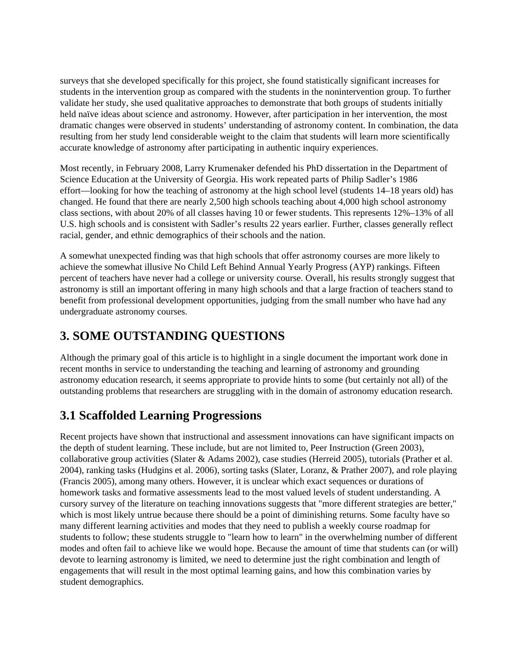surveys that she developed specifically for this project, she found statistically significant increases for students in the intervention group as compared with the students in the nonintervention group. To further validate her study, she used qualitative approaches to demonstrate that both groups of students initially held naïve ideas about science and astronomy. However, after participation in her intervention, the most dramatic changes were observed in students' understanding of astronomy content. In combination, the data resulting from her study lend considerable weight to the claim that students will learn more scientifically accurate knowledge of astronomy after participating in authentic inquiry experiences.

Most recently, in February 2008, Larry Krumenaker defended his PhD dissertation in the Department of Science Education at the University of Georgia. His work repeated parts of Philip Sadler's 1986 effort—looking for how the teaching of astronomy at the high school level (students 14–18 years old) has changed. He found that there are nearly 2,500 high schools teaching about 4,000 high school astronomy class sections, with about 20% of all classes having 10 or fewer students. This represents 12%–13% of all U.S. high schools and is consistent with Sadler's results 22 years earlier. Further, classes generally reflect racial, gender, and ethnic demographics of their schools and the nation.

A somewhat unexpected finding was that high schools that offer astronomy courses are more likely to achieve the somewhat illusive No Child Left Behind Annual Yearly Progress (AYP) rankings. Fifteen percent of teachers have never had a college or university course. Overall, his results strongly suggest that astronomy is still an important offering in many high schools and that a large fraction of teachers stand to benefit from professional development opportunities, judging from the small number who have had any undergraduate astronomy courses.

# **3. SOME OUTSTANDING QUESTIONS**

Although the primary goal of this article is to highlight in a single document the important work done in recent months in service to understanding the teaching and learning of astronomy and grounding astronomy education research, it seems appropriate to provide hints to some (but certainly not all) of the outstanding problems that researchers are struggling with in the domain of astronomy education research.

# **3.1 Scaffolded Learning Progressions**

Recent projects have shown that instructional and assessment innovations can have significant impacts on the depth of student learning. These include, but are not limited to, Peer Instruction (Green 2003), collaborative group activities (Slater & Adams 2002), case studies (Herreid 2005), tutorials (Prather et al. 2004), ranking tasks (Hudgins et al. 2006), sorting tasks (Slater, Loranz, & Prather 2007), and role playing (Francis 2005), among many others. However, it is unclear which exact sequences or durations of homework tasks and formative assessments lead to the most valued levels of student understanding. A cursory survey of the literature on teaching innovations suggests that "more different strategies are better," which is most likely untrue because there should be a point of diminishing returns. Some faculty have so many different learning activities and modes that they need to publish a weekly course roadmap for students to follow; these students struggle to "learn how to learn" in the overwhelming number of different modes and often fail to achieve like we would hope. Because the amount of time that students can (or will) devote to learning astronomy is limited, we need to determine just the right combination and length of engagements that will result in the most optimal learning gains, and how this combination varies by student demographics.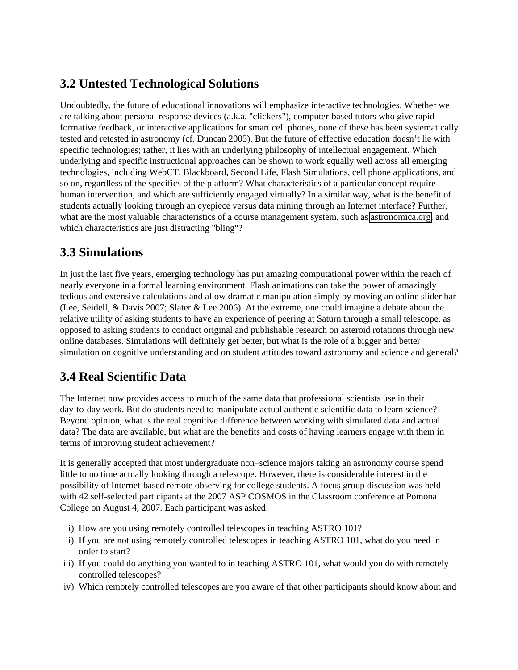### **3.2 Untested Technological Solutions**

Undoubtedly, the future of educational innovations will emphasize interactive technologies. Whether we are talking about personal response devices (a.k.a. "clickers"), computer-based tutors who give rapid formative feedback, or interactive applications for smart cell phones, none of these has been systematically tested and retested in astronomy (cf. Duncan 2005). But the future of effective education doesn't lie with specific technologies; rather, it lies with an underlying philosophy of intellectual engagement. Which underlying and specific instructional approaches can be shown to work equally well across all emerging technologies, including WebCT, Blackboard, Second Life, Flash Simulations, cell phone applications, and so on, regardless of the specifics of the platform? What characteristics of a particular concept require human intervention, and which are sufficiently engaged virtually? In a similar way, what is the benefit of students actually looking through an eyepiece versus data mining through an Internet interface? Further, what are the most valuable characteristics of a course management system, such as [astronomica.org,](http://www./) and which characteristics are just distracting "bling"?

### **3.3 Simulations**

In just the last five years, emerging technology has put amazing computational power within the reach of nearly everyone in a formal learning environment. Flash animations can take the power of amazingly tedious and extensive calculations and allow dramatic manipulation simply by moving an online slider bar (Lee, Seidell, & Davis 2007; Slater & Lee 2006). At the extreme, one could imagine a debate about the relative utility of asking students to have an experience of peering at Saturn through a small telescope, as opposed to asking students to conduct original and publishable research on asteroid rotations through new online databases. Simulations will definitely get better, but what is the role of a bigger and better simulation on cognitive understanding and on student attitudes toward astronomy and science and general?

# **3.4 Real Scientific Data**

The Internet now provides access to much of the same data that professional scientists use in their day-to-day work. But do students need to manipulate actual authentic scientific data to learn science? Beyond opinion, what is the real cognitive difference between working with simulated data and actual data? The data are available, but what are the benefits and costs of having learners engage with them in terms of improving student achievement?

It is generally accepted that most undergraduate non–science majors taking an astronomy course spend little to no time actually looking through a telescope. However, there is considerable interest in the possibility of Internet-based remote observing for college students. A focus group discussion was held with 42 self-selected participants at the 2007 ASP COSMOS in the Classroom conference at Pomona College on August 4, 2007. Each participant was asked:

- i) How are you using remotely controlled telescopes in teaching ASTRO 101?
- ii) If you are not using remotely controlled telescopes in teaching ASTRO 101, what do you need in order to start?
- iii) If you could do anything you wanted to in teaching ASTRO 101, what would you do with remotely controlled telescopes?
- iv) Which remotely controlled telescopes are you aware of that other participants should know about and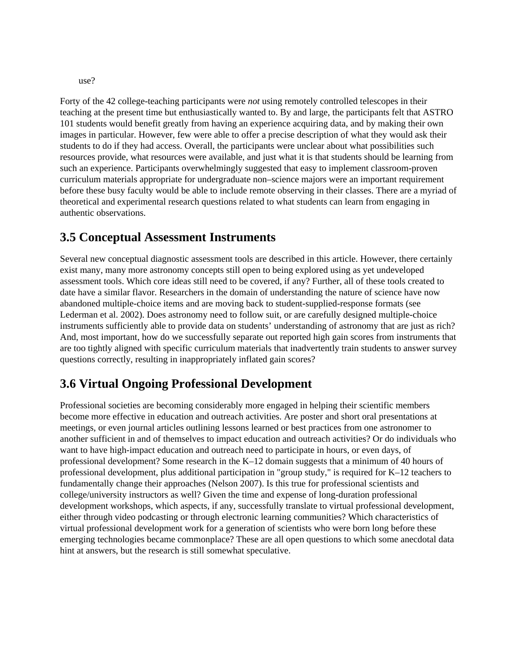use?

Forty of the 42 college-teaching participants were *not* using remotely controlled telescopes in their teaching at the present time but enthusiastically wanted to. By and large, the participants felt that ASTRO 101 students would benefit greatly from having an experience acquiring data, and by making their own images in particular. However, few were able to offer a precise description of what they would ask their students to do if they had access. Overall, the participants were unclear about what possibilities such resources provide, what resources were available, and just what it is that students should be learning from such an experience. Participants overwhelmingly suggested that easy to implement classroom-proven curriculum materials appropriate for undergraduate non–science majors were an important requirement before these busy faculty would be able to include remote observing in their classes. There are a myriad of theoretical and experimental research questions related to what students can learn from engaging in authentic observations.

#### **3.5 Conceptual Assessment Instruments**

Several new conceptual diagnostic assessment tools are described in this article. However, there certainly exist many, many more astronomy concepts still open to being explored using as yet undeveloped assessment tools. Which core ideas still need to be covered, if any? Further, all of these tools created to date have a similar flavor. Researchers in the domain of understanding the nature of science have now abandoned multiple-choice items and are moving back to student-supplied-response formats (see Lederman et al. 2002). Does astronomy need to follow suit, or are carefully designed multiple-choice instruments sufficiently able to provide data on students' understanding of astronomy that are just as rich? And, most important, how do we successfully separate out reported high gain scores from instruments that are too tightly aligned with specific curriculum materials that inadvertently train students to answer survey questions correctly, resulting in inappropriately inflated gain scores?

### **3.6 Virtual Ongoing Professional Development**

Professional societies are becoming considerably more engaged in helping their scientific members become more effective in education and outreach activities. Are poster and short oral presentations at meetings, or even journal articles outlining lessons learned or best practices from one astronomer to another sufficient in and of themselves to impact education and outreach activities? Or do individuals who want to have high-impact education and outreach need to participate in hours, or even days, of professional development? Some research in the K–12 domain suggests that a minimum of 40 hours of professional development, plus additional participation in "group study," is required for K–12 teachers to fundamentally change their approaches (Nelson 2007). Is this true for professional scientists and college/university instructors as well? Given the time and expense of long-duration professional development workshops, which aspects, if any, successfully translate to virtual professional development, either through video podcasting or through electronic learning communities? Which characteristics of virtual professional development work for a generation of scientists who were born long before these emerging technologies became commonplace? These are all open questions to which some anecdotal data hint at answers, but the research is still somewhat speculative.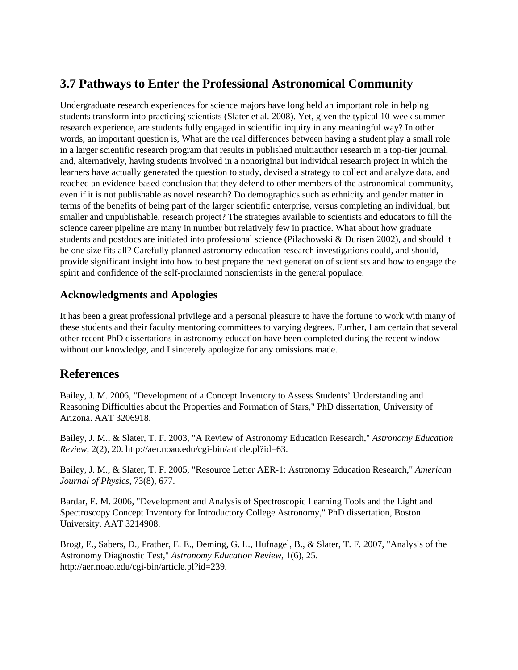### **3.7 Pathways to Enter the Professional Astronomical Community**

Undergraduate research experiences for science majors have long held an important role in helping students transform into practicing scientists (Slater et al. 2008). Yet, given the typical 10-week summer research experience, are students fully engaged in scientific inquiry in any meaningful way? In other words, an important question is, What are the real differences between having a student play a small role in a larger scientific research program that results in published multiauthor research in a top-tier journal, and, alternatively, having students involved in a nonoriginal but individual research project in which the learners have actually generated the question to study, devised a strategy to collect and analyze data, and reached an evidence-based conclusion that they defend to other members of the astronomical community, even if it is not publishable as novel research? Do demographics such as ethnicity and gender matter in terms of the benefits of being part of the larger scientific enterprise, versus completing an individual, but smaller and unpublishable, research project? The strategies available to scientists and educators to fill the science career pipeline are many in number but relatively few in practice. What about how graduate students and postdocs are initiated into professional science (Pilachowski & Durisen 2002), and should it be one size fits all? Carefully planned astronomy education research investigations could, and should, provide significant insight into how to best prepare the next generation of scientists and how to engage the spirit and confidence of the self-proclaimed nonscientists in the general populace.

#### **Acknowledgments and Apologies**

It has been a great professional privilege and a personal pleasure to have the fortune to work with many of these students and their faculty mentoring committees to varying degrees. Further, I am certain that several other recent PhD dissertations in astronomy education have been completed during the recent window without our knowledge, and I sincerely apologize for any omissions made.

### **References**

Bailey, J. M. 2006, "Development of a Concept Inventory to Assess Students' Understanding and Reasoning Difficulties about the Properties and Formation of Stars," PhD dissertation, University of Arizona. AAT 3206918.

Bailey, J. M., & Slater, T. F. 2003, "A Review of Astronomy Education Research," *Astronomy Education Review*, 2(2), 20. http://aer.noao.edu/cgi-bin/article.pl?id=63.

Bailey, J. M., & Slater, T. F. 2005, "Resource Letter AER-1: Astronomy Education Research," *American Journal of Physics*, 73(8), 677.

Bardar, E. M. 2006, "Development and Analysis of Spectroscopic Learning Tools and the Light and Spectroscopy Concept Inventory for Introductory College Astronomy," PhD dissertation, Boston University. AAT 3214908.

Brogt, E., Sabers, D., Prather, E. E., Deming, G. L., Hufnagel, B., & Slater, T. F. 2007, "Analysis of the Astronomy Diagnostic Test," *Astronomy Education Review*, 1(6), 25. http://aer.noao.edu/cgi-bin/article.pl?id=239.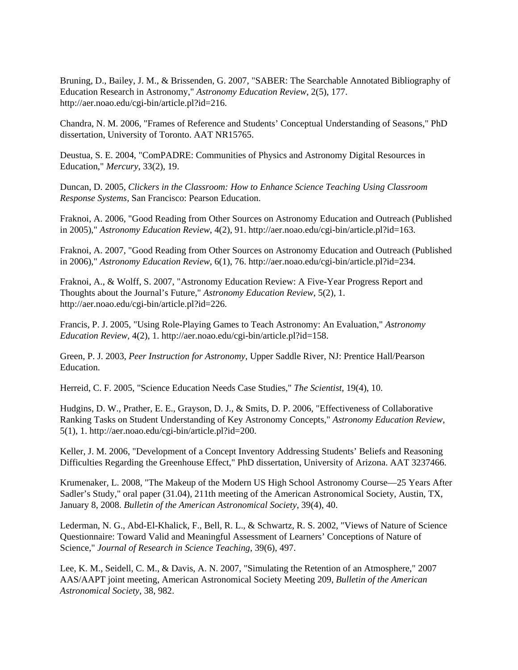Bruning, D., Bailey, J. M., & Brissenden, G. 2007, "SABER: The Searchable Annotated Bibliography of Education Research in Astronomy," *Astronomy Education Review*, 2(5), 177. http://aer.noao.edu/cgi-bin/article.pl?id=216.

Chandra, N. M. 2006, "Frames of Reference and Students' Conceptual Understanding of Seasons," PhD dissertation, University of Toronto. AAT NR15765.

Deustua, S. E. 2004, "ComPADRE: Communities of Physics and Astronomy Digital Resources in Education," *Mercury*, 33(2), 19.

Duncan, D. 2005, *Clickers in the Classroom: How to Enhance Science Teaching Using Classroom Response Systems*, San Francisco: Pearson Education.

Fraknoi, A. 2006, "Good Reading from Other Sources on Astronomy Education and Outreach (Published in 2005)," *Astronomy Education Review*, 4(2), 91. http://aer.noao.edu/cgi-bin/article.pl?id=163.

Fraknoi, A. 2007, "Good Reading from Other Sources on Astronomy Education and Outreach (Published in 2006)," *Astronomy Education Review*, 6(1), 76. http://aer.noao.edu/cgi-bin/article.pl?id=234.

Fraknoi, A., & Wolff, S. 2007, "Astronomy Education Review: A Five-Year Progress Report and Thoughts about the Journal's Future," *Astronomy Education Review*, 5(2), 1. http://aer.noao.edu/cgi-bin/article.pl?id=226.

Francis, P. J. 2005, "Using Role-Playing Games to Teach Astronomy: An Evaluation," *Astronomy Education Review*, 4(2), 1. http://aer.noao.edu/cgi-bin/article.pl?id=158.

Green, P. J. 2003, *Peer Instruction for Astronomy*, Upper Saddle River, NJ: Prentice Hall/Pearson Education.

Herreid, C. F. 2005, "Science Education Needs Case Studies," *The Scientist*, 19(4), 10.

Hudgins, D. W., Prather, E. E., Grayson, D. J., & Smits, D. P. 2006, "Effectiveness of Collaborative Ranking Tasks on Student Understanding of Key Astronomy Concepts," *Astronomy Education Review*, 5(1), 1. http://aer.noao.edu/cgi-bin/article.pl?id=200.

Keller, J. M. 2006, "Development of a Concept Inventory Addressing Students' Beliefs and Reasoning Difficulties Regarding the Greenhouse Effect," PhD dissertation, University of Arizona. AAT 3237466.

Krumenaker, L. 2008, "The Makeup of the Modern US High School Astronomy Course—25 Years After Sadler's Study," oral paper (31.04), 211th meeting of the American Astronomical Society, Austin, TX, January 8, 2008. *Bulletin of the American Astronomical Society*, 39(4), 40.

Lederman, N. G., Abd-El-Khalick, F., Bell, R. L., & Schwartz, R. S. 2002, "Views of Nature of Science Questionnaire: Toward Valid and Meaningful Assessment of Learners' Conceptions of Nature of Science," *Journal of Research in Science Teaching*, 39(6), 497.

Lee, K. M., Seidell, C. M., & Davis, A. N. 2007, "Simulating the Retention of an Atmosphere," 2007 AAS/AAPT joint meeting, American Astronomical Society Meeting 209, *Bulletin of the American Astronomical Society*, 38, 982.